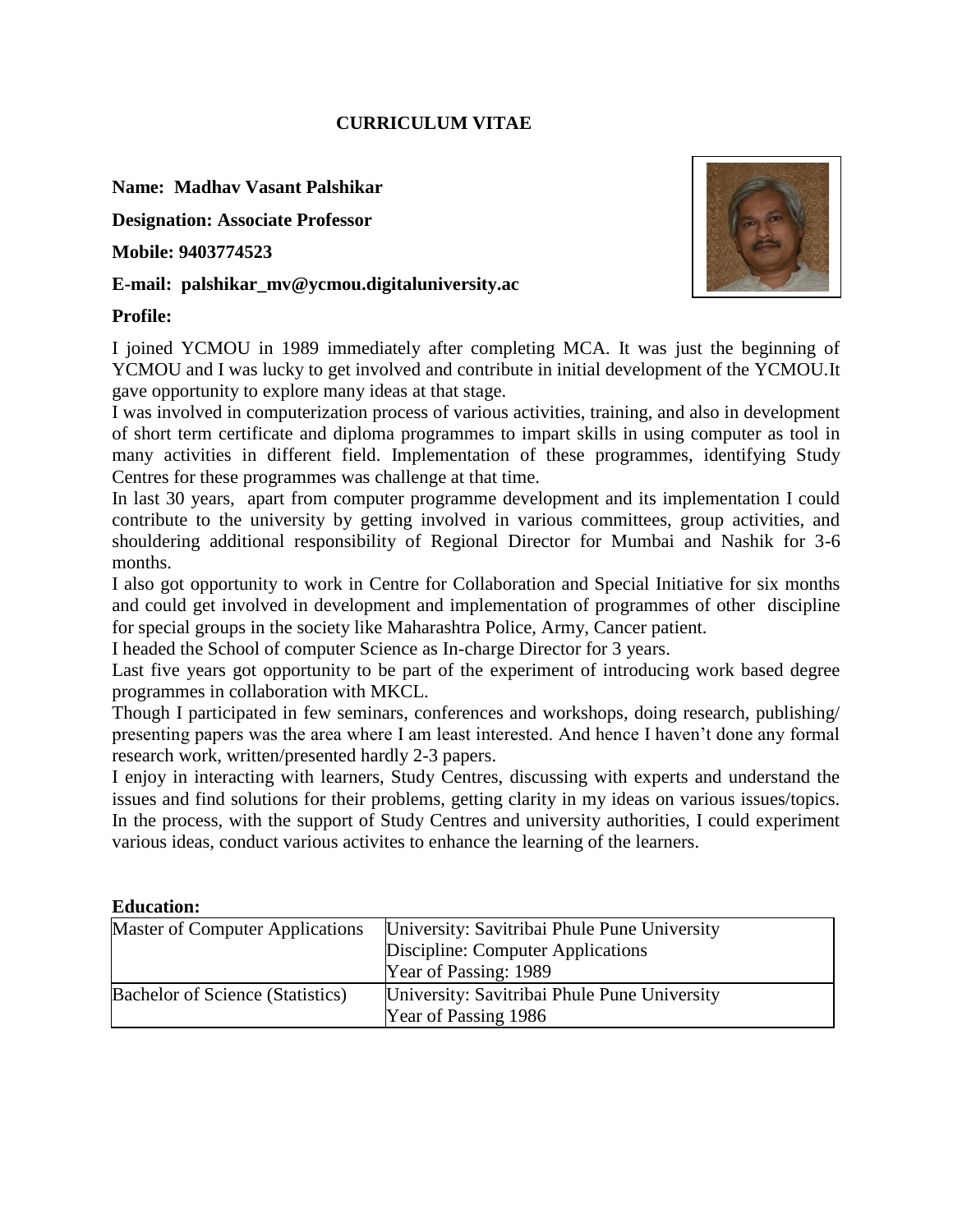### **CURRICULUM VITAE**

### **Name: Madhav Vasant Palshikar**

**Designation: Associate Professor**

**Mobile: 9403774523**

### **E-mail: palshikar\_mv@ycmou.digitaluniversity.ac**

### **Profile:**



I joined YCMOU in 1989 immediately after completing MCA. It was just the beginning of YCMOU and I was lucky to get involved and contribute in initial development of the YCMOU.It gave opportunity to explore many ideas at that stage.

I was involved in computerization process of various activities, training, and also in development of short term certificate and diploma programmes to impart skills in using computer as tool in many activities in different field. Implementation of these programmes, identifying Study Centres for these programmes was challenge at that time.

In last 30 years, apart from computer programme development and its implementation I could contribute to the university by getting involved in various committees, group activities, and shouldering additional responsibility of Regional Director for Mumbai and Nashik for 3-6 months.

I also got opportunity to work in Centre for Collaboration and Special Initiative for six months and could get involved in development and implementation of programmes of other discipline for special groups in the society like Maharashtra Police, Army, Cancer patient.

I headed the School of computer Science as In-charge Director for 3 years.

Last five years got opportunity to be part of the experiment of introducing work based degree programmes in collaboration with MKCL.

Though I participated in few seminars, conferences and workshops, doing research, publishing/ presenting papers was the area where I am least interested. And hence I haven't done any formal research work, written/presented hardly 2-3 papers.

I enjoy in interacting with learners, Study Centres, discussing with experts and understand the issues and find solutions for their problems, getting clarity in my ideas on various issues/topics. In the process, with the support of Study Centres and university authorities, I could experiment various ideas, conduct various activites to enhance the learning of the learners.

#### **Education:**

| <b>Master of Computer Applications</b> | University: Savitribai Phule Pune University |
|----------------------------------------|----------------------------------------------|
|                                        | Discipline: Computer Applications            |
|                                        | Year of Passing: 1989                        |
| Bachelor of Science (Statistics)       | University: Savitribai Phule Pune University |
|                                        | Year of Passing 1986                         |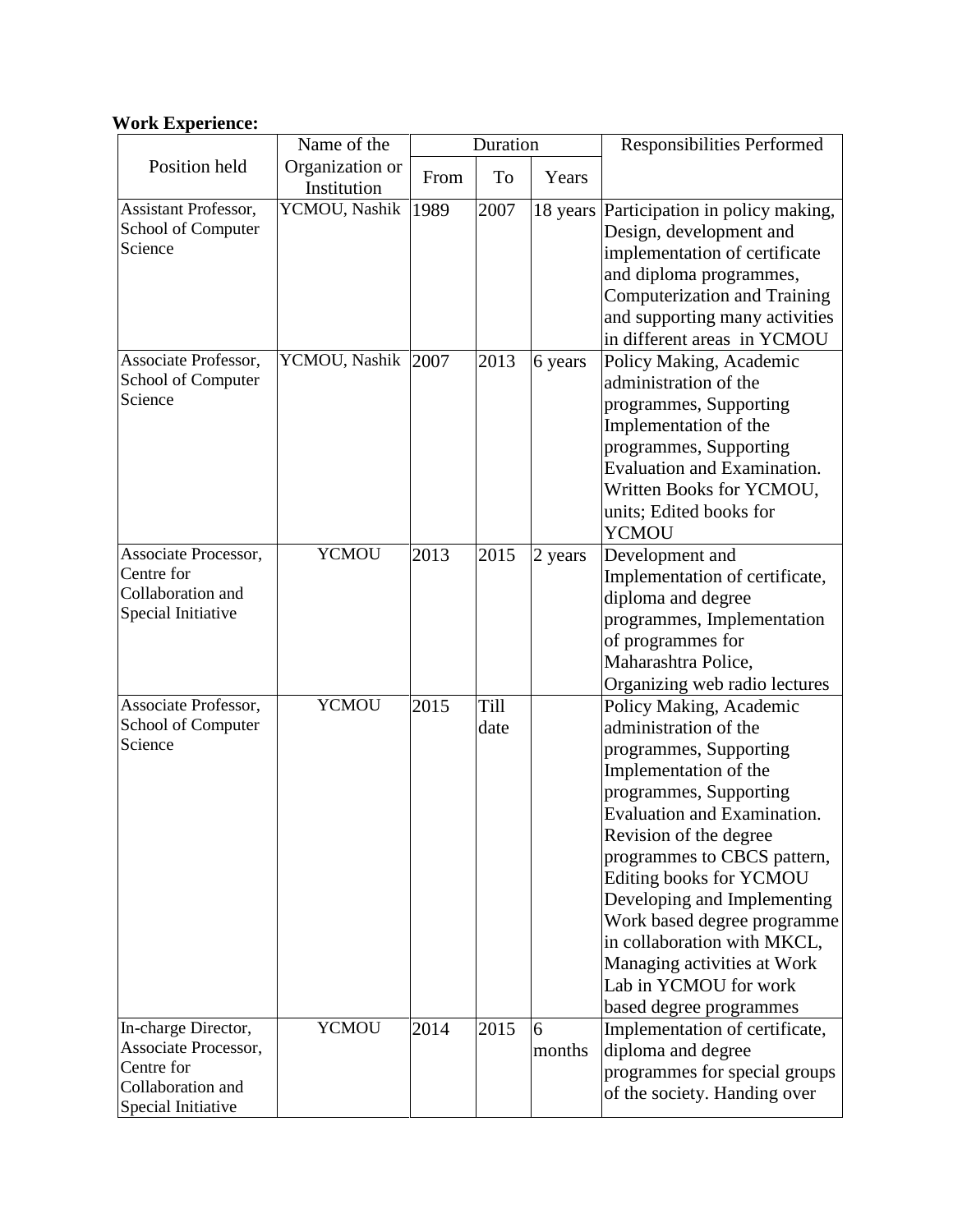# **Work Experience:**

|                                                                                                      | Name of the                    | Duration |              |             | <b>Responsibilities Performed</b>                                                                                                                                                                                                                                                                                                                                                                                                |
|------------------------------------------------------------------------------------------------------|--------------------------------|----------|--------------|-------------|----------------------------------------------------------------------------------------------------------------------------------------------------------------------------------------------------------------------------------------------------------------------------------------------------------------------------------------------------------------------------------------------------------------------------------|
| Position held                                                                                        | Organization or<br>Institution | From     | To           | Years       |                                                                                                                                                                                                                                                                                                                                                                                                                                  |
| Assistant Professor,<br>School of Computer<br>Science                                                | YCMOU, Nashik                  | 1989     | 2007         |             | 18 years Participation in policy making,<br>Design, development and<br>implementation of certificate<br>and diploma programmes,<br>Computerization and Training<br>and supporting many activities<br>in different areas in YCMOU                                                                                                                                                                                                 |
| Associate Professor,<br>School of Computer<br>Science                                                | YCMOU, Nashik                  | 2007     | 2013         | 6 years     | Policy Making, Academic<br>administration of the<br>programmes, Supporting<br>Implementation of the<br>programmes, Supporting<br>Evaluation and Examination.<br>Written Books for YCMOU,<br>units; Edited books for<br>YCMOU                                                                                                                                                                                                     |
| Associate Processor,<br>Centre for<br>Collaboration and<br>Special Initiative                        | <b>YCMOU</b>                   | 2013     | 2015         | 2 years     | Development and<br>Implementation of certificate,<br>diploma and degree<br>programmes, Implementation<br>of programmes for<br>Maharashtra Police,<br>Organizing web radio lectures                                                                                                                                                                                                                                               |
| Associate Professor,<br>School of Computer<br>Science                                                | <b>YCMOU</b>                   | 2015     | Till<br>date |             | Policy Making, Academic<br>administration of the<br>programmes, Supporting<br>Implementation of the<br>programmes, Supporting<br>Evaluation and Examination.<br>Revision of the degree<br>programmes to CBCS pattern,<br>Editing books for YCMOU<br>Developing and Implementing<br>Work based degree programme<br>in collaboration with MKCL,<br>Managing activities at Work<br>Lab in YCMOU for work<br>based degree programmes |
| In-charge Director,<br>Associate Processor,<br>Centre for<br>Collaboration and<br>Special Initiative | <b>YCMOU</b>                   | 2014     | 2015         | 6<br>months | Implementation of certificate,<br>diploma and degree<br>programmes for special groups<br>of the society. Handing over                                                                                                                                                                                                                                                                                                            |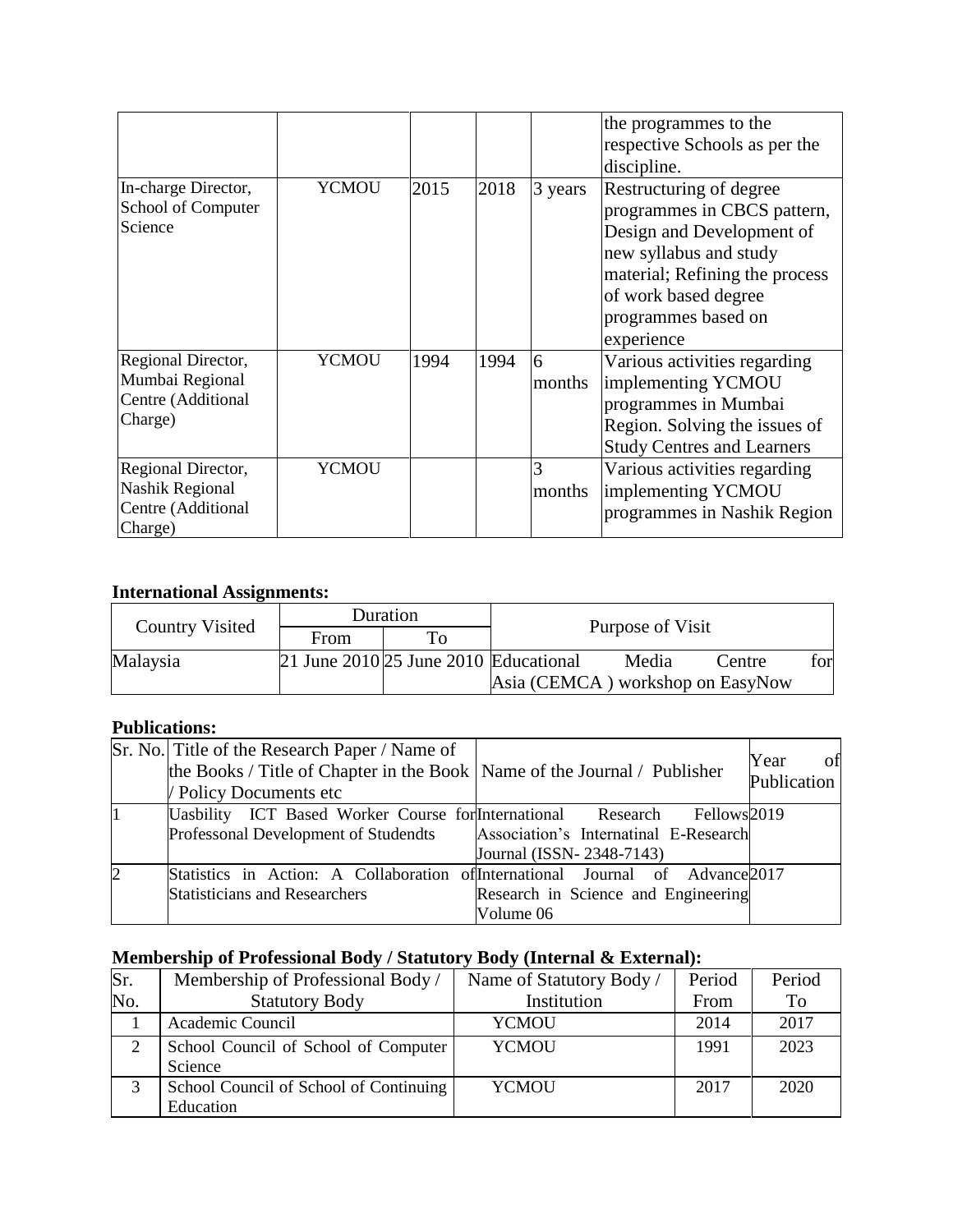|                                                                        |              |      |      |             | the programmes to the<br>respective Schools as per the<br>discipline.                                                                                                                                        |
|------------------------------------------------------------------------|--------------|------|------|-------------|--------------------------------------------------------------------------------------------------------------------------------------------------------------------------------------------------------------|
| In-charge Director,<br>School of Computer<br>Science                   | <b>YCMOU</b> | 2015 | 2018 | 3 years     | Restructuring of degree<br>programmes in CBCS pattern,<br>Design and Development of<br>new syllabus and study<br>material; Refining the process<br>of work based degree<br>programmes based on<br>experience |
| Regional Director,<br>Mumbai Regional<br>Centre (Additional<br>Charge) | <b>YCMOU</b> | 1994 | 1994 | 6<br>months | Various activities regarding<br>implementing YCMOU<br>programmes in Mumbai<br>Region. Solving the issues of<br><b>Study Centres and Learners</b>                                                             |
| Regional Director,<br>Nashik Regional<br>Centre (Additional<br>Charge) | <b>YCMOU</b> |      |      | 3<br>months | Various activities regarding<br>implementing YCMOU<br>programmes in Nashik Region                                                                                                                            |

## **International Assignments:**

|                 |      | Duration                                  |                  |                                  |        |      |
|-----------------|------|-------------------------------------------|------------------|----------------------------------|--------|------|
| Country Visited | From | $\mathbf{T_{O}}$                          | Purpose of Visit |                                  |        |      |
| Malaysia        |      | 21 June $2010$ $25$ June 2010 Educational |                  | Media                            | Centre | forl |
|                 |      |                                           |                  | Asia (CEMCA) workshop on EasyNow |        |      |

### **Publications:**

|                | Sr. No. Title of the Research Paper / Name of<br>the Books / Title of Chapter in the Book   Name of the Journal / Publisher<br>/ Policy Documents etc |                                                                  | of<br>Year<br>Publication |
|----------------|-------------------------------------------------------------------------------------------------------------------------------------------------------|------------------------------------------------------------------|---------------------------|
|                | Uasbility ICT Based Worker Course for International Research<br>Professonal Development of Studendts                                                  | Fellows <sup>2019</sup><br>Association's Internatinal E-Research |                           |
|                |                                                                                                                                                       | Journal (ISSN-2348-7143)                                         |                           |
| $\overline{2}$ | Statistics in Action: A Collaboration of International Journal of Advance 2017                                                                        |                                                                  |                           |
|                | <b>Statisticians and Researchers</b>                                                                                                                  | Research in Science and Engineering                              |                           |
|                |                                                                                                                                                       | Volume 06                                                        |                           |

# **Membership of Professional Body / Statutory Body (Internal & External):**

| Sr. | Membership of Professional Body /      | Name of Statutory Body / | Period | Period |
|-----|----------------------------------------|--------------------------|--------|--------|
| No. | <b>Statutory Body</b>                  | Institution              | From   | To     |
|     | Academic Council                       | YCMOU                    | 2014   | 2017   |
|     | School Council of School of Computer   | <b>YCMOU</b>             | 1991   | 2023   |
|     | Science                                |                          |        |        |
|     | School Council of School of Continuing | <b>YCMOU</b>             | 2017   | 2020   |
|     | Education                              |                          |        |        |